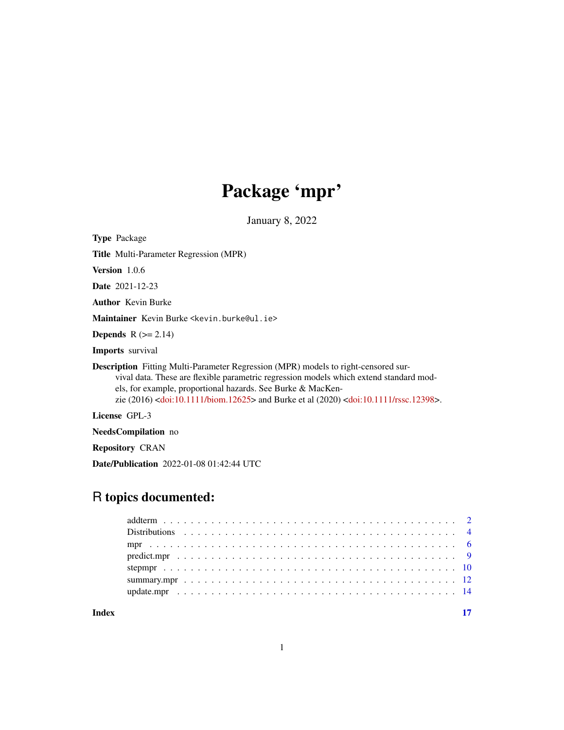# Package 'mpr'

January 8, 2022

<span id="page-0-0"></span>Type Package

Title Multi-Parameter Regression (MPR)

Version 1.0.6

Date 2021-12-23

Author Kevin Burke

Maintainer Kevin Burke <kevin.burke@ul.ie>

**Depends**  $R$  ( $>= 2.14$ )

Imports survival

Description Fitting Multi-Parameter Regression (MPR) models to right-censored survival data. These are flexible parametric regression models which extend standard models, for example, proportional hazards. See Burke & MacKenzie (2016) [<doi:10.1111/biom.12625>](https://doi.org/10.1111/biom.12625) and Burke et al (2020) [<doi:10.1111/rssc.12398>](https://doi.org/10.1111/rssc.12398).

License GPL-3

NeedsCompilation no

Repository CRAN

Date/Publication 2022-01-08 01:42:44 UTC

# R topics documented:

| Index |  |
|-------|--|
|       |  |
|       |  |
|       |  |
|       |  |
|       |  |
|       |  |
|       |  |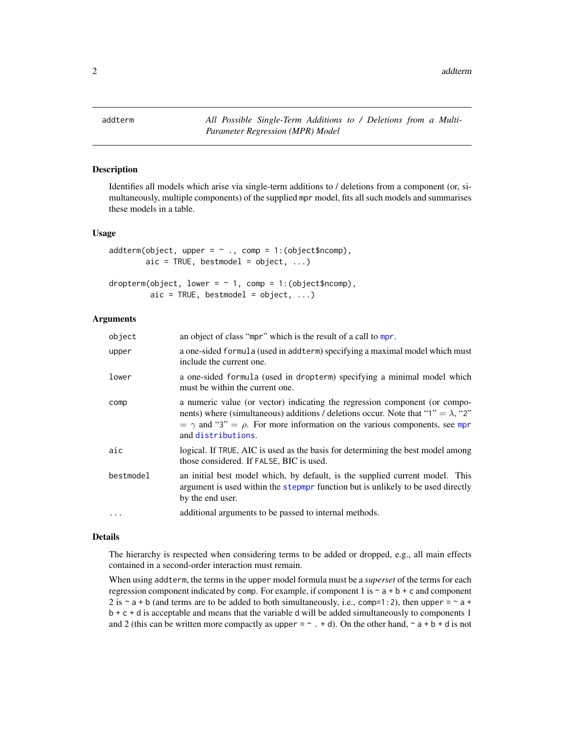<span id="page-1-1"></span><span id="page-1-0"></span>addterm *All Possible Single-Term Additions to / Deletions from a Multi-Parameter Regression (MPR) Model*

# <span id="page-1-2"></span>Description

Identifies all models which arise via single-term additions to / deletions from a component (or, simultaneously, multiple components) of the supplied mpr model, fits all such models and summarises these models in a table.

#### Usage

```
addterm(object, upper = \sim ., comp = 1:(object$ncomp),
        aic = TRUE, bestmodel = object, ...)
```

```
dropterm(object, lower = \sim 1, comp = 1:(object$ncomp),
            \text{aic} = \text{TRUE}, \text{ bestmodel} = \text{object}, \dots)
```
# Arguments

| object    | an object of class "mpr" which is the result of a call to mpr.                                                                                                                                                                                                                        |
|-----------|---------------------------------------------------------------------------------------------------------------------------------------------------------------------------------------------------------------------------------------------------------------------------------------|
| upper     | a one-sided formula (used in addterm) specifying a maximal model which must<br>include the current one.                                                                                                                                                                               |
| lower     | a one-sided formula (used in dropterm) specifying a minimal model which<br>must be within the current one.                                                                                                                                                                            |
| comp      | a numeric value (or vector) indicating the regression component (or compo-<br>nents) where (simultaneous) additions / deletions occur. Note that "1" = $\lambda$ , "2"<br>$= \gamma$ and "3" = $\rho$ . For more information on the various components, see mpr<br>and distributions. |
| aic       | logical. If TRUE, AIC is used as the basis for determining the best model among<br>those considered. If FALSE, BIC is used.                                                                                                                                                           |
| bestmodel | an initial best model which, by default, is the supplied current model. This<br>argument is used within the stepmpr function but is unlikely to be used directly<br>by the end user.                                                                                                  |
| .         | additional arguments to be passed to internal methods.                                                                                                                                                                                                                                |

#### Details

The hierarchy is respected when considering terms to be added or dropped, e.g., all main effects contained in a second-order interaction must remain.

When using addterm, the terms in the upper model formula must be a *superset* of the terms for each regression component indicated by comp. For example, if component 1 is  $\sim$  a + b + c and component 2 is  $\sim$  a + b (and terms are to be added to both simultaneously, i.e., comp=1:2), then upper =  $\sim$  a + b + c + d is acceptable and means that the variable d will be added simultaneously to components 1 and 2 (this can be written more compactly as upper =  $\sim$  . + d). On the other hand,  $\sim$  a + b + d is not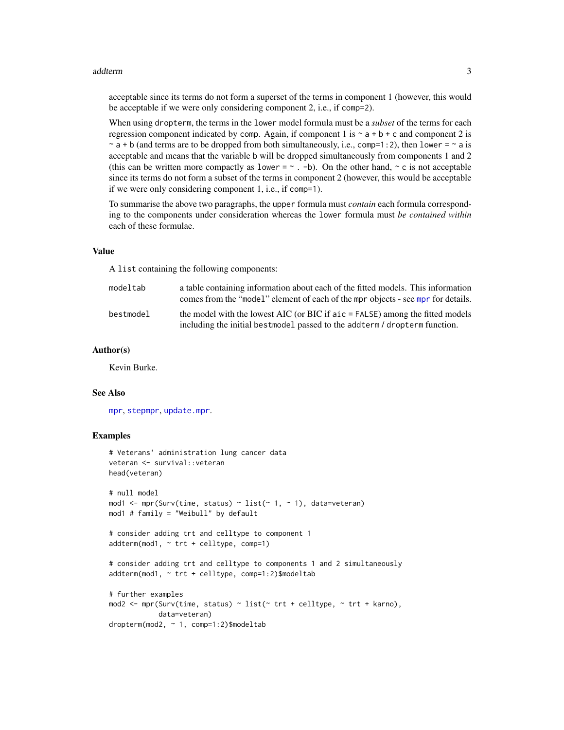#### <span id="page-2-0"></span>addterm 3

acceptable since its terms do not form a superset of the terms in component 1 (however, this would be acceptable if we were only considering component 2, i.e., if comp=2).

When using dropterm, the terms in the lower model formula must be a *subset* of the terms for each regression component indicated by comp. Again, if component 1 is  $\sim a + b + c$  and component 2 is  $\sim$  a + b (and terms are to be dropped from both simultaneously, i.e., comp=1:2), then lower =  $\sim$  a is acceptable and means that the variable b will be dropped simultaneously from components 1 and 2 (this can be written more compactly as lower =  $\sim$  . -b). On the other hand,  $\sim$  c is not acceptable since its terms do not form a subset of the terms in component 2 (however, this would be acceptable if we were only considering component 1, i.e., if comp=1).

To summarise the above two paragraphs, the upper formula must *contain* each formula corresponding to the components under consideration whereas the lower formula must *be contained within* each of these formulae.

# Value

A list containing the following components:

| modeltab  | a table containing information about each of the fitted models. This information<br>comes from the "model" element of each of the mpr objects - see mpr for details. |
|-----------|----------------------------------------------------------------------------------------------------------------------------------------------------------------------|
| bestmodel | the model with the lowest AIC (or BIC if $\alpha$ = FALSE) among the fitted models<br>including the initial bestmodel passed to the addterm / dropterm function.     |

#### Author(s)

Kevin Burke.

## See Also

[mpr](#page-5-1), [stepmpr](#page-9-1), [update.mpr](#page-13-1).

```
# Veterans' administration lung cancer data
veteran <- survival::veteran
head(veteran)
# null model
mod1 <- mpr(Surv(time, status) \sim list(\sim 1, \sim 1), data=veteran)
mod1 # family = "Weibull" by default
# consider adding trt and celltype to component 1
addterm(mod1, ~r.t. + celltype, comp=1)# consider adding trt and celltype to components 1 and 2 simultaneously
addterm(mod1, ~ trt + celltype, comp=1:2)$modeltab
# further examples
mod2 <- mpr(Surv(time, status) ~ list(~ trt + celltype, ~ trt + karno),
            data=veteran)
dropterm(mod2, ~ 1, comp=1:2)$modeltab
```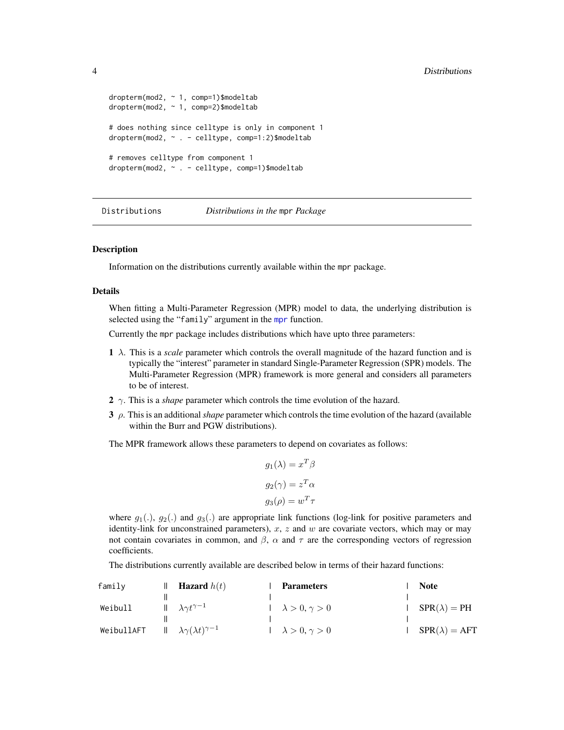```
dropterm(mod2, ~ 1, comp=1)$modeltab
dropterm(mod2, ~ 1, comp=2)$modeltab
# does nothing since celltype is only in component 1
dropterm(mod2, ~ . - celltype, comp=1:2)$modeltab
# removes celltype from component 1
dropterm(mod2, ~ . - celltype, comp=1)$modeltab
```
Distributions *Distributions in the* mpr *Package*

#### <span id="page-3-1"></span>**Description**

Information on the distributions currently available within the mpr package.

# Details

When fitting a Multi-Parameter Regression (MPR) model to data, the underlying distribution is selected using the "family" argument in the [mpr](#page-5-1) function.

Currently the mpr package includes distributions which have upto three parameters:

- $1 \lambda$ . This is a *scale* parameter which controls the overall magnitude of the hazard function and is typically the "interest" parameter in standard Single-Parameter Regression (SPR) models. The Multi-Parameter Regression (MPR) framework is more general and considers all parameters to be of interest.
- 2  $\gamma$ . This is a *shape* parameter which controls the time evolution of the hazard.
- 3 ρ. This is an additional *shape* parameter which controls the time evolution of the hazard (available within the Burr and PGW distributions).

The MPR framework allows these parameters to depend on covariates as follows:

$$
g_1(\lambda) = x^T \beta
$$

$$
g_2(\gamma) = z^T \alpha
$$

$$
g_3(\rho) = w^T \tau
$$

where  $g_1(.)$ ,  $g_2(.)$  and  $g_3(.)$  are appropriate link functions (log-link for positive parameters and identity-link for unconstrained parameters),  $x$ ,  $z$  and  $w$  are covariate vectors, which may or may not contain covariates in common, and  $\beta$ ,  $\alpha$  and  $\tau$  are the corresponding vectors of regression coefficients.

The distributions currently available are described below in terms of their hazard functions:

| family     | <b>Hazard</b> $h(t)$                        | <b>Parameters</b>         | <b>Note</b>             |
|------------|---------------------------------------------|---------------------------|-------------------------|
|            |                                             |                           |                         |
| Weibull    | $   \lambda \gamma t^{\gamma - 1}$          | $\lambda > 0, \gamma > 0$ | $I$ $SPR(\lambda) = PH$ |
|            |                                             |                           |                         |
| WeibullAFT | $   \lambda \gamma(\lambda t)^{\gamma - 1}$ | $\lambda > 0, \gamma > 0$ | $SPR(\lambda) = AFT$    |

<span id="page-3-0"></span>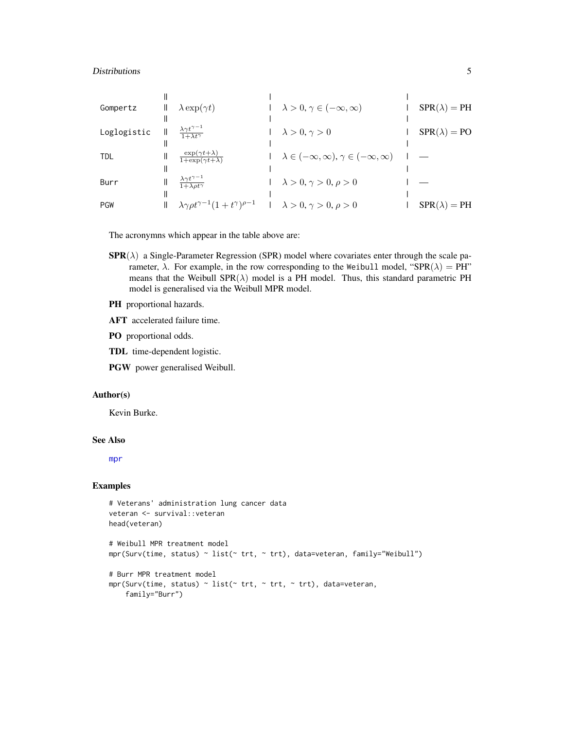#### <span id="page-4-0"></span>Distributions 5

| Gompertz    | Ш | $\lambda \exp(\gamma t)$                                            | $\lambda > 0, \gamma \in (-\infty, \infty)$                   | $SPR(\lambda) = PH$ |
|-------------|---|---------------------------------------------------------------------|---------------------------------------------------------------|---------------------|
|             |   |                                                                     |                                                               |                     |
| Loglogistic |   | $\frac{\lambda \gamma t^{\gamma - 1}}{1 + \lambda t^{\gamma}}$      | $\lambda > 0, \gamma > 0$                                     | $SPR(\lambda) = PO$ |
|             |   |                                                                     |                                                               |                     |
| <b>TDL</b>  |   | $\frac{\exp(\gamma t + \lambda)}{1 + \exp(\gamma t + \lambda)}$     | $\lambda \in (-\infty, \infty), \gamma \in (-\infty, \infty)$ |                     |
|             |   |                                                                     |                                                               |                     |
| Burr        |   | $\frac{\lambda \gamma t^{\gamma - 1}}{1 + \lambda \rho t^{\gamma}}$ | $\lambda > 0, \gamma > 0, \rho > 0$                           |                     |
|             |   |                                                                     |                                                               |                     |
| <b>PGW</b>  |   | $\lambda \gamma \rho t^{\gamma - 1} (1 + t^{\gamma})^{\rho - 1}$    | $\lambda > 0, \gamma > 0, \rho > 0$                           | $SPR(\lambda) = PH$ |

The acronymns which appear in the table above are:

- $\text{SPR}(\lambda)$  a Single-Parameter Regression (SPR) model where covariates enter through the scale parameter,  $\lambda$ . For example, in the row corresponding to the Weibull model, "SPR( $\lambda$ ) = PH" means that the Weibull  $SPR(\lambda)$  model is a PH model. Thus, this standard parametric PH model is generalised via the Weibull MPR model.
- PH proportional hazards.
- AFT accelerated failure time.
- PO proportional odds.
- TDL time-dependent logistic.
- PGW power generalised Weibull.

# Author(s)

Kevin Burke.

#### See Also

[mpr](#page-5-1)

```
# Veterans' administration lung cancer data
veteran <- survival::veteran
head(veteran)
# Weibull MPR treatment model
mpr(Surv(time, status) ~ list(~ trt, ~ trt), data=veteran, family="Weibull")
# Burr MPR treatment model
mpr(Surv(time, status) \sim list(\sim trt, \sim trt, \sim trt), data=veteran,
    family="Burr")
```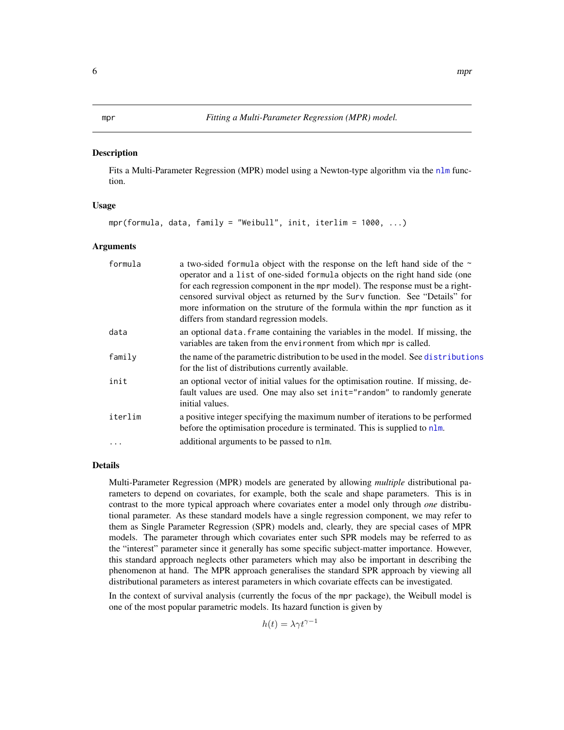#### <span id="page-5-1"></span><span id="page-5-0"></span>**Description**

Fits a Multi-Parameter Regression (MPR) model using a Newton-type algorithm via the [nlm](#page-0-0) function.

#### Usage

```
mpr(formula, data, family = "Weibull", init, iterlim = 1000, ...)
```
#### Arguments

| formula | a two-sided formula object with the response on the left hand side of the ~<br>operator and a list of one-sided formula objects on the right hand side (one<br>for each regression component in the mpr model). The response must be a right-<br>censored survival object as returned by the Surv function. See "Details" for<br>more information on the struture of the formula within the mpr function as it<br>differs from standard regression models. |
|---------|------------------------------------------------------------------------------------------------------------------------------------------------------------------------------------------------------------------------------------------------------------------------------------------------------------------------------------------------------------------------------------------------------------------------------------------------------------|
| data    | an optional data. Frame containing the variables in the model. If missing, the<br>variables are taken from the environment from which mpr is called.                                                                                                                                                                                                                                                                                                       |
| family  | the name of the parametric distribution to be used in the model. See distributions<br>for the list of distributions currently available.                                                                                                                                                                                                                                                                                                                   |
| init    | an optional vector of initial values for the optimisation routine. If missing, de-<br>fault values are used. One may also set init="random" to randomly generate<br>initial values.                                                                                                                                                                                                                                                                        |
| iterlim | a positive integer specifying the maximum number of iterations to be performed<br>before the optimisation procedure is terminated. This is supplied to nlm.                                                                                                                                                                                                                                                                                                |
| .       | additional arguments to be passed to nlm.                                                                                                                                                                                                                                                                                                                                                                                                                  |

#### Details

Multi-Parameter Regression (MPR) models are generated by allowing *multiple* distributional parameters to depend on covariates, for example, both the scale and shape parameters. This is in contrast to the more typical approach where covariates enter a model only through *one* distributional parameter. As these standard models have a single regression component, we may refer to them as Single Parameter Regression (SPR) models and, clearly, they are special cases of MPR models. The parameter through which covariates enter such SPR models may be referred to as the "interest" parameter since it generally has some specific subject-matter importance. However, this standard approach neglects other parameters which may also be important in describing the phenomenon at hand. The MPR approach generalises the standard SPR approach by viewing all distributional parameters as interest parameters in which covariate effects can be investigated.

In the context of survival analysis (currently the focus of the mpr package), the Weibull model is one of the most popular parametric models. Its hazard function is given by

 $h(t) = \lambda \gamma t^{\gamma - 1}$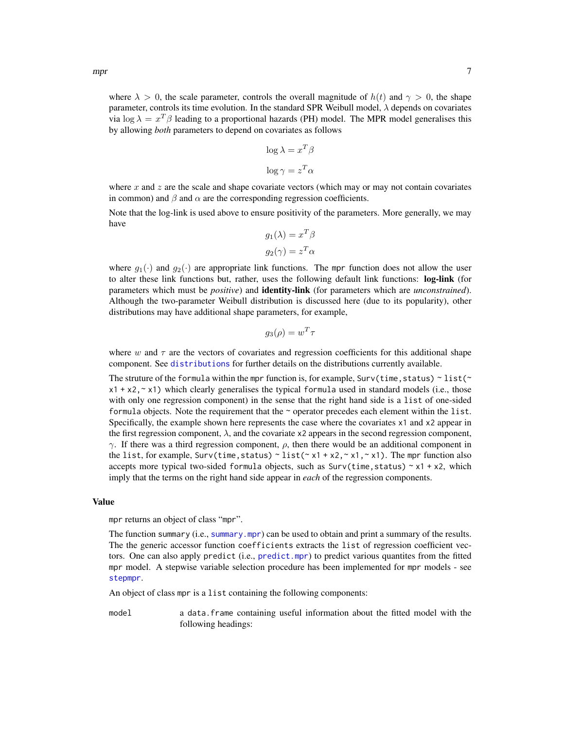<span id="page-6-0"></span>where  $\lambda > 0$ , the scale parameter, controls the overall magnitude of  $h(t)$  and  $\gamma > 0$ , the shape parameter, controls its time evolution. In the standard SPR Weibull model,  $\lambda$  depends on covariates via log  $\lambda = x^T \beta$  leading to a proportional hazards (PH) model. The MPR model generalises this by allowing *both* parameters to depend on covariates as follows

$$
\log \lambda = x^T \beta
$$

$$
\log \gamma = z^T \alpha
$$

where x and z are the scale and shape covariate vectors (which may or may not contain covariates in common) and  $\beta$  and  $\alpha$  are the corresponding regression coefficients.

Note that the log-link is used above to ensure positivity of the parameters. More generally, we may have

$$
g_1(\lambda) = x^T \beta
$$
  

$$
g_2(\gamma) = z^T \alpha
$$

where  $g_1(\cdot)$  and  $g_2(\cdot)$  are appropriate link functions. The mpr function does not allow the user to alter these link functions but, rather, uses the following default link functions: log-link (for parameters which must be *positive*) and identity-link (for parameters which are *unconstrained*). Although the two-parameter Weibull distribution is discussed here (due to its popularity), other distributions may have additional shape parameters, for example,

$$
g_3(\rho) = w^T \tau
$$

where w and  $\tau$  are the vectors of covariates and regression coefficients for this additional shape component. See [distributions](#page-3-1) for further details on the distributions currently available.

The struture of the formula within the mpr function is, for example, Surv(time, status)  $\sim$  list( $\sim$  $x1 + x2$ ,  $x$   $x$   $y$  which clearly generalises the typical formula used in standard models (i.e., those with only one regression component) in the sense that the right hand side is a list of one-sided formula objects. Note the requirement that the  $\sim$  operator precedes each element within the list. Specifically, the example shown here represents the case where the covariates x1 and x2 appear in the first regression component,  $\lambda$ , and the covariate x2 appears in the second regression component,  $\gamma$ . If there was a third regression component,  $\rho$ , then there would be an additional component in the list, for example, Surv(time, status)  $\sim$  list( $\sim$  x1 + x2, $\sim$  x1, $\sim$  x1). The mpr function also accepts more typical two-sided formula objects, such as  $Surv(time, status) \sim x1 + x2$ , which imply that the terms on the right hand side appear in *each* of the regression components.

#### Value

mpr returns an object of class "mpr".

The function summary (i.e., [summary.mpr](#page-11-1)) can be used to obtain and print a summary of the results. The the generic accessor function coefficients extracts the list of regression coefficient vectors. One can also apply predict (i.e., [predict.mpr](#page-8-1)) to predict various quantites from the fitted mpr model. A stepwise variable selection procedure has been implemented for mpr models - see [stepmpr](#page-9-1).

An object of class mpr is a list containing the following components:

model a data.frame containing useful information about the fitted model with the following headings: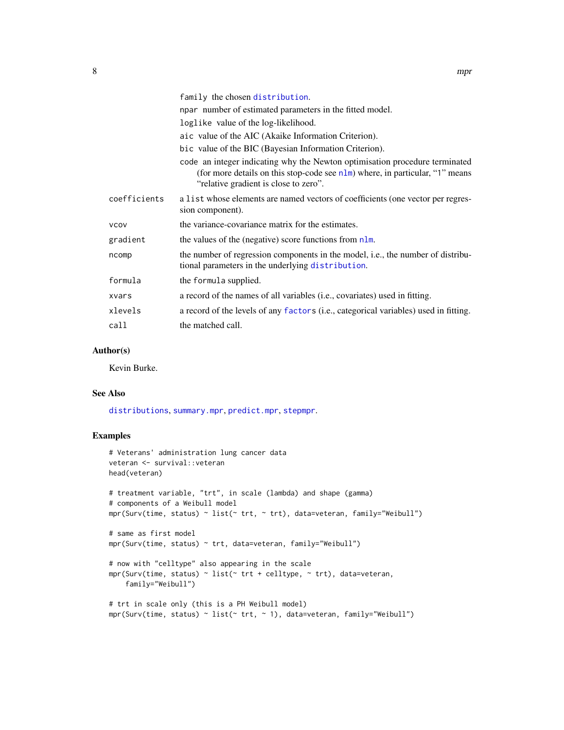<span id="page-7-0"></span>

|              | family the chosen distribution.                                                                                                                                                                             |
|--------------|-------------------------------------------------------------------------------------------------------------------------------------------------------------------------------------------------------------|
|              | npar number of estimated parameters in the fitted model.                                                                                                                                                    |
|              | loglike value of the log-likelihood.                                                                                                                                                                        |
|              | aic value of the AIC (Akaike Information Criterion).                                                                                                                                                        |
|              | bic value of the BIC (Bayesian Information Criterion).                                                                                                                                                      |
|              | code an integer indicating why the Newton optimisation procedure terminated<br>(for more details on this stop-code see $n \ln m$ ) where, in particular, "1" means<br>"relative gradient is close to zero". |
| coefficients | a list whose elements are named vectors of coefficients (one vector per regres-<br>sion component).                                                                                                         |
| <b>VCOV</b>  | the variance-covariance matrix for the estimates.                                                                                                                                                           |
| gradient     | the values of the (negative) score functions from nlm.                                                                                                                                                      |
| ncomp        | the number of regression components in the model, <i>i.e.</i> , the number of distribu-<br>tional parameters in the underlying distribution.                                                                |
| formula      | the formula supplied.                                                                                                                                                                                       |
| xvars        | a record of the names of all variables (i.e., covariates) used in fitting.                                                                                                                                  |
| xlevels      | a record of the levels of any factors (i.e., categorical variables) used in fitting.                                                                                                                        |
| call         | the matched call.                                                                                                                                                                                           |

# Author(s)

Kevin Burke.

# See Also

[distributions](#page-3-1), [summary.mpr](#page-11-1), [predict.mpr](#page-8-1), [stepmpr](#page-9-1).

```
# Veterans' administration lung cancer data
veteran <- survival::veteran
head(veteran)
# treatment variable, "trt", in scale (lambda) and shape (gamma)
# components of a Weibull model
mpr(Surv(time, status) \sim list(\sim trt, \sim trt), data=veteran, family="Weibull")
# same as first model
mpr(Surv(time, status) ~ trt, data=veteran, family="Weibull")
# now with "celltype" also appearing in the scale
mpr(Surv(time, status) ~ list(~ trt + celltype, ~ trt), data=veteran,
    family="Weibull")
# trt in scale only (this is a PH Weibull model)
mpr(Surv(time, status) ~ list(~ trt, ~ 1), data=veteran, family="Weibull")
```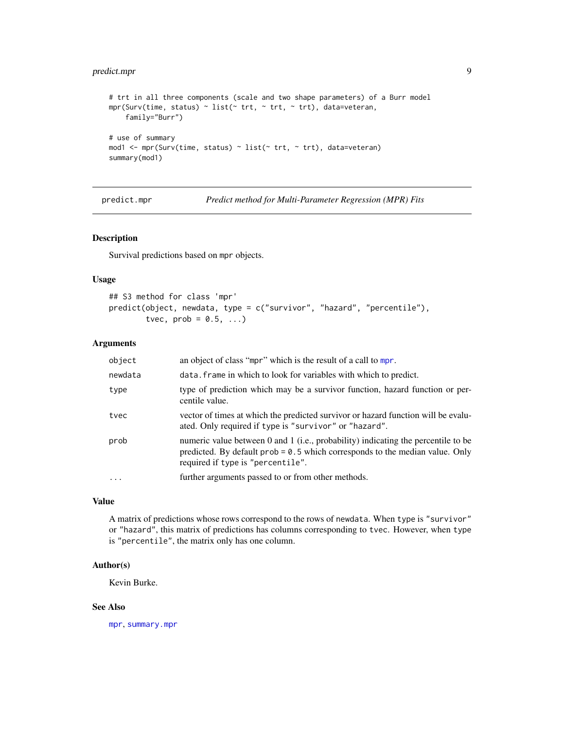# <span id="page-8-0"></span>predict.mpr 9

```
# trt in all three components (scale and two shape parameters) of a Burr model
mpr(Surv(time, status) ~ list(~ trt, ~ trt, ~ trt), data=veteran,
    family="Burr")
# use of summary
mod1 <- mpr(Surv(time, status) ~ list(~ trt, ~ trt), data=veteran)
summary(mod1)
```
<span id="page-8-1"></span>predict.mpr *Predict method for Multi-Parameter Regression (MPR) Fits*

# Description

Survival predictions based on mpr objects.

#### Usage

```
## S3 method for class 'mpr'
predict(object, newdata, type = c("survivor", "hazard", "percentile"),
       tvec, prob = 0.5, ...
```
#### Arguments

| object    | an object of class "mpr" which is the result of a call to mpr.                                                                                                                                                    |
|-----------|-------------------------------------------------------------------------------------------------------------------------------------------------------------------------------------------------------------------|
| newdata   | data. frame in which to look for variables with which to predict.                                                                                                                                                 |
| type      | type of prediction which may be a survivor function, hazard function or per-<br>centile value.                                                                                                                    |
| tvec      | vector of times at which the predicted survivor or hazard function will be evalu-<br>ated. Only required if type is "survivor" or "hazard".                                                                       |
| prob      | numeric value between 0 and 1 ( <i>i.e.</i> , probability) indicating the percentile to be<br>predicted. By default $prob = 0.5$ which corresponds to the median value. Only<br>required if type is "percentile". |
| $\ddotsc$ | further arguments passed to or from other methods.                                                                                                                                                                |
|           |                                                                                                                                                                                                                   |

# Value

A matrix of predictions whose rows correspond to the rows of newdata. When type is "survivor" or "hazard", this matrix of predictions has columns corresponding to tvec. However, when type is "percentile", the matrix only has one column.

# Author(s)

Kevin Burke.

# See Also

[mpr](#page-5-1), [summary.mpr](#page-11-1)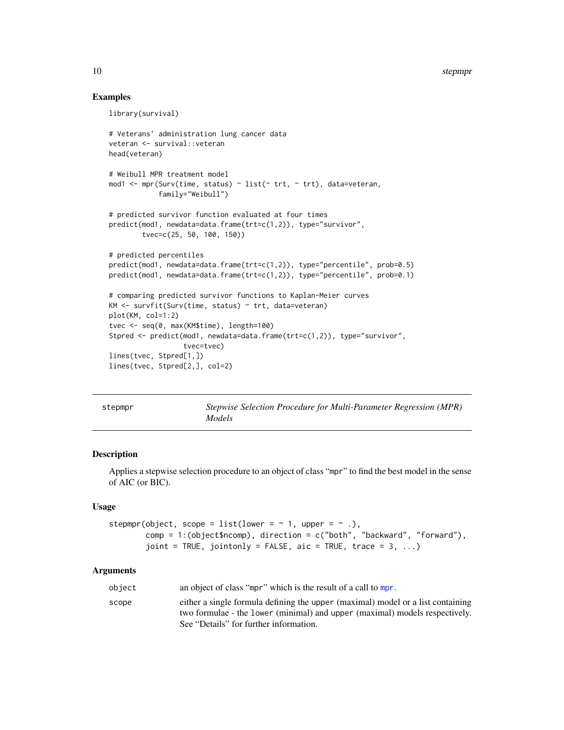# Examples

```
library(survival)
# Veterans' administration lung cancer data
veteran <- survival::veteran
head(veteran)
# Weibull MPR treatment model
mod1 <- mpr(Surv(time, status) ~ list(~ trt, ~ trt), data=veteran,
            family="Weibull")
# predicted survivor function evaluated at four times
predict(mod1, newdata=data.frame(trt=c(1,2)), type="survivor",
        tvec=c(25, 50, 100, 150))
# predicted percentiles
predict(mod1, newdata=data.frame(trt=c(1,2)), type="percentile", prob=0.5)
predict(mod1, newdata=data.frame(trt=c(1,2)), type="percentile", prob=0.1)
# comparing predicted survivor functions to Kaplan-Meier curves
KM <- survfit(Surv(time, status) ~ trt, data=veteran)
plot(KM, col=1:2)
tvec <- seq(0, max(KM$time), length=100)
Stpred <- predict(mod1, newdata=data.frame(trt=c(1,2)), type="survivor",
                  tvec=tvec)
lines(tvec, Stpred[1,])
lines(tvec, Stpred[2,], col=2)
```
<span id="page-9-1"></span>

Stepwise Selection Procedure for Multi-Parameter Regression (MPR) *Models*

# Description

Applies a stepwise selection procedure to an object of class "mpr" to find the best model in the sense of AIC (or BIC).

# Usage

```
stepmpr(object, scope = list(lower = \sim 1, upper = \sim .),
        comp = 1:(object$ncomp), direction = c("both", "backward", "forward"),
        joint = TRUE, jointonly = FALSE, aic = TRUE, trace = 3, ...)
```
# **Arguments**

| object | an object of class "mpr" which is the result of a call to mpr.                  |
|--------|---------------------------------------------------------------------------------|
| scope  | either a single formula defining the upper (maximal) model or a list containing |
|        | two formulae - the lower (minimal) and upper (maximal) models respectively.     |
|        | See "Details" for further information.                                          |

<span id="page-9-0"></span>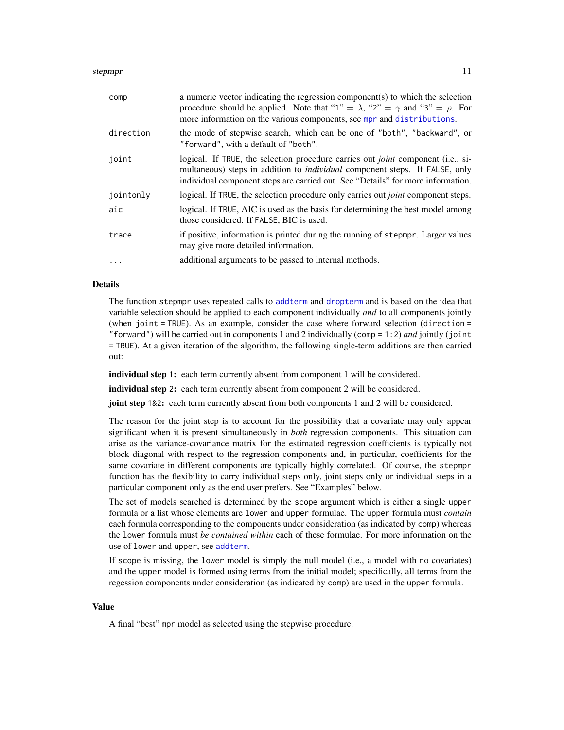#### <span id="page-10-0"></span>stepmpr that the steps of the steps of the steps of the step step step in the step step in the step in the step in the step in the step in the step in the step in the step in the step in the step in the step in the step in

| comp      | a numeric vector indicating the regression component(s) to which the selection<br>procedure should be applied. Note that "1" = $\lambda$ , "2" = $\gamma$ and "3" = $\rho$ . For<br>more information on the various components, see mpr and distributions.       |
|-----------|------------------------------------------------------------------------------------------------------------------------------------------------------------------------------------------------------------------------------------------------------------------|
| direction | the mode of stepwise search, which can be one of "both", "backward", or<br>"forward", with a default of "both".                                                                                                                                                  |
| joint     | logical. If TRUE, the selection procedure carries out <i>joint</i> component (i.e., si-<br>multaneous) steps in addition to <i>individual</i> component steps. If FALSE, only<br>individual component steps are carried out. See "Details" for more information. |
| jointonly | logical. If TRUE, the selection procedure only carries out <i>joint</i> component steps.                                                                                                                                                                         |
| aic       | logical. If TRUE, AIC is used as the basis for determining the best model among<br>those considered. If FALSE, BIC is used.                                                                                                                                      |
| trace     | if positive, information is printed during the running of stepmpr. Larger values<br>may give more detailed information.                                                                                                                                          |
| $\cdots$  | additional arguments to be passed to internal methods.                                                                                                                                                                                                           |

#### Details

The function stepmpr uses repeated calls to [addterm](#page-1-1) and [dropterm](#page-1-2) and is based on the idea that variable selection should be applied to each component individually *and* to all components jointly (when joint  $=$  TRUE). As an example, consider the case where forward selection (direction  $=$ "forward") will be carried out in components 1 and 2 individually (comp = 1:2) *and* jointly (joint = TRUE). At a given iteration of the algorithm, the following single-term additions are then carried out:

individual step 1: each term currently absent from component 1 will be considered.

individual step 2: each term currently absent from component 2 will be considered.

joint step 1&2: each term currently absent from both components 1 and 2 will be considered.

The reason for the joint step is to account for the possibility that a covariate may only appear significant when it is present simultaneously in *both* regression components. This situation can arise as the variance-covariance matrix for the estimated regression coefficients is typically not block diagonal with respect to the regression components and, in particular, coefficients for the same covariate in different components are typically highly correlated. Of course, the stepmpr function has the flexibility to carry individual steps only, joint steps only or individual steps in a particular component only as the end user prefers. See "Examples" below.

The set of models searched is determined by the scope argument which is either a single upper formula or a list whose elements are lower and upper formulae. The upper formula must *contain* each formula corresponding to the components under consideration (as indicated by comp) whereas the lower formula must *be contained within* each of these formulae. For more information on the use of lower and upper, see [addterm](#page-1-1).

If scope is missing, the lower model is simply the null model (i.e., a model with no covariates) and the upper model is formed using terms from the initial model; specifically, all terms from the regession components under consideration (as indicated by comp) are used in the upper formula.

#### Value

A final "best" mpr model as selected using the stepwise procedure.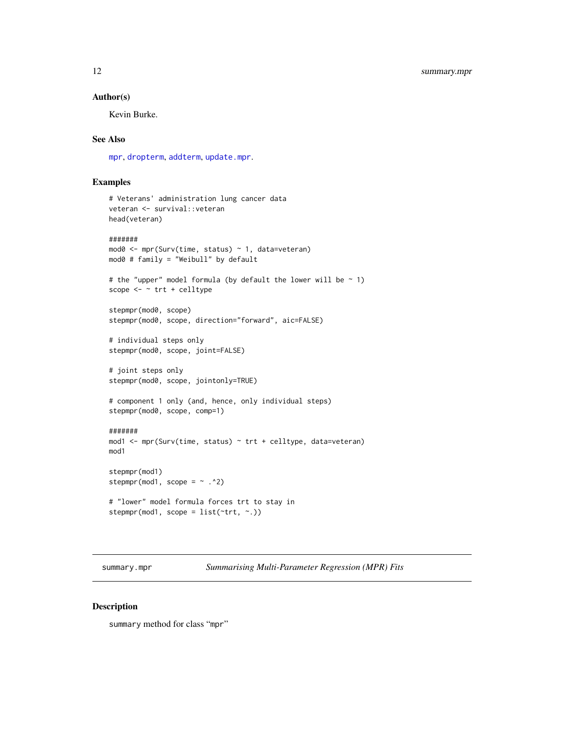#### <span id="page-11-0"></span>Author(s)

Kevin Burke.

# See Also

[mpr](#page-5-1), [dropterm](#page-1-2), [addterm](#page-1-1), [update.mpr](#page-13-1).

# Examples

```
# Veterans' administration lung cancer data
veteran <- survival::veteran
head(veteran)
#######
mod0 <- mpr(Surv(time, status) ~ 1, data=veteran)
mod0 # family = "Weibull" by default
# the "upper" model formula (by default the lower will be \sim 1)
scope <- ~ trt + celltype
stepmpr(mod0, scope)
stepmpr(mod0, scope, direction="forward", aic=FALSE)
# individual steps only
stepmpr(mod0, scope, joint=FALSE)
# joint steps only
stepmpr(mod0, scope, jointonly=TRUE)
# component 1 only (and, hence, only individual steps)
stepmpr(mod0, scope, comp=1)
#######
mod1 <- mpr(Surv(time, status) ~ trt + celltype, data=veteran)
mod1
stepmpr(mod1)
stepmpr(mod1, scope = \sim .^2)
# "lower" model formula forces trt to stay in
stepmpr(mod1, scope = list(~trt, ~.))
```
<span id="page-11-1"></span>summary.mpr *Summarising Multi-Parameter Regression (MPR) Fits*

#### Description

summary method for class "mpr"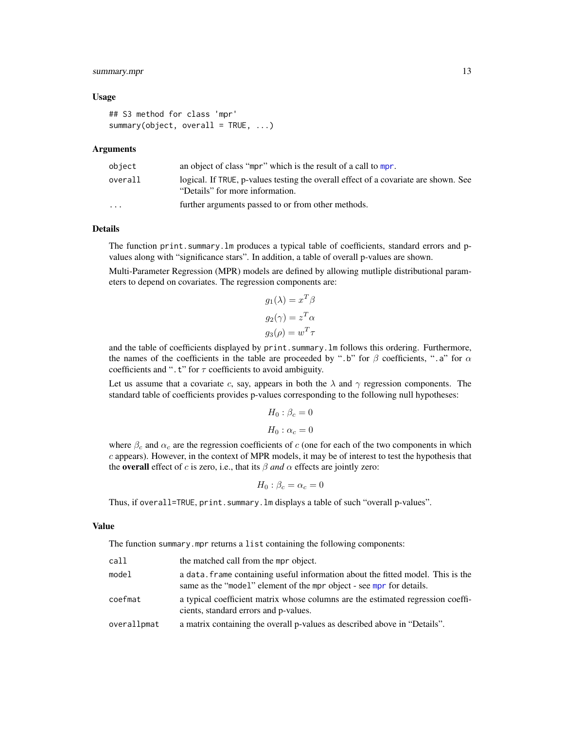# summary.mpr 13

#### Usage

```
## S3 method for class 'mpr'
summary(object, overall = TRUE, \ldots)
```
#### Arguments

| object                  | an object of class "mpr" which is the result of a call to mpr.                                                         |
|-------------------------|------------------------------------------------------------------------------------------------------------------------|
| overall                 | logical. If TRUE, p-values testing the overall effect of a covariate are shown. See<br>"Details" for more information. |
| $\cdot$ $\cdot$ $\cdot$ | further arguments passed to or from other methods.                                                                     |

#### Details

The function print.summary.lm produces a typical table of coefficients, standard errors and pvalues along with "significance stars". In addition, a table of overall p-values are shown.

Multi-Parameter Regression (MPR) models are defined by allowing mutliple distributional parameters to depend on covariates. The regression components are:

 $T$ .

$$
g_1(\lambda) = x^T \beta
$$

$$
g_2(\gamma) = z^T \alpha
$$

$$
g_3(\rho) = w^T \tau
$$

and the table of coefficients displayed by print. summary. Im follows this ordering. Furthermore, the names of the coefficients in the table are proceeded by ".b" for  $\beta$  coefficients, ".a" for  $\alpha$ coefficients and ".t" for  $\tau$  coefficients to avoid ambiguity.

Let us assume that a covariate c, say, appears in both the  $\lambda$  and  $\gamma$  regression components. The standard table of coefficients provides p-values corresponding to the following null hypotheses:

$$
H_0: \beta_c = 0
$$
  

$$
H_0: \alpha_c = 0
$$

where  $\beta_c$  and  $\alpha_c$  are the regression coefficients of c (one for each of the two components in which  $c$  appears). However, in the context of MPR models, it may be of interest to test the hypothesis that the **overall** effect of c is zero, i.e., that its  $\beta$  *and*  $\alpha$  effects are jointly zero:

$$
H_0: \beta_c = \alpha_c = 0
$$

Thus, if overall=TRUE, print. summary.  $lm$  displays a table of such "overall p-values".

#### Value

The function summary.mpr returns a list containing the following components:

| call        | the matched call from the mpr object.                                                                                                                   |
|-------------|---------------------------------------------------------------------------------------------------------------------------------------------------------|
| model       | a data, frame containing useful information about the fitted model. This is the<br>same as the "model" element of the mpr object - see mpr for details. |
| coefmat     | a typical coefficient matrix whose columns are the estimated regression coeffi-<br>cients, standard errors and p-values.                                |
| overallpmat | a matrix containing the overall p-values as described above in "Details".                                                                               |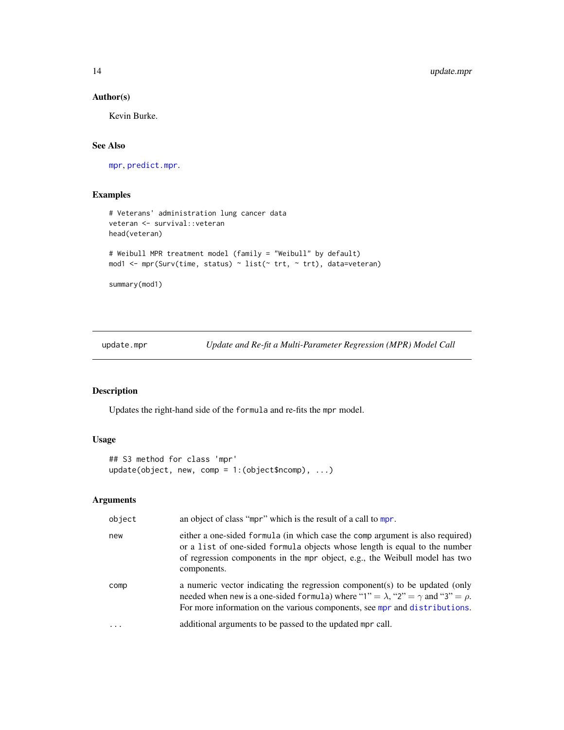# Author(s)

Kevin Burke.

#### See Also

[mpr](#page-5-1), [predict.mpr](#page-8-1).

# Examples

```
# Veterans' administration lung cancer data
veteran <- survival::veteran
head(veteran)
# Weibull MPR treatment model (family = "Weibull" by default)
mod1 <- mpr(Surv(time, status) ~ list(~ trt, ~ trt), data=veteran)
```
summary(mod1)

<span id="page-13-1"></span>update.mpr *Update and Re-fit a Multi-Parameter Regression (MPR) Model Call*

# Description

Updates the right-hand side of the formula and re-fits the mpr model.

# Usage

```
## S3 method for class 'mpr'
update(object, new, comp = 1:(object$ncomp), ...)
```
# Arguments

| object | an object of class "mpr" which is the result of a call to mpr.                                                                                                                                                                                                 |
|--------|----------------------------------------------------------------------------------------------------------------------------------------------------------------------------------------------------------------------------------------------------------------|
| new    | either a one-sided formula (in which case the comp argument is also required)<br>or a list of one-sided formula objects whose length is equal to the number<br>of regression components in the mpr object, e.g., the Weibull model has two<br>components.      |
| comp   | a numeric vector indicating the regression component(s) to be updated (only<br>needed when new is a one-sided formula) where "1" = $\lambda$ , "2" = $\gamma$ and "3" = $\rho$ .<br>For more information on the various components, see mpr and distributions. |
| .      | additional arguments to be passed to the updated mpr call.                                                                                                                                                                                                     |

<span id="page-13-0"></span>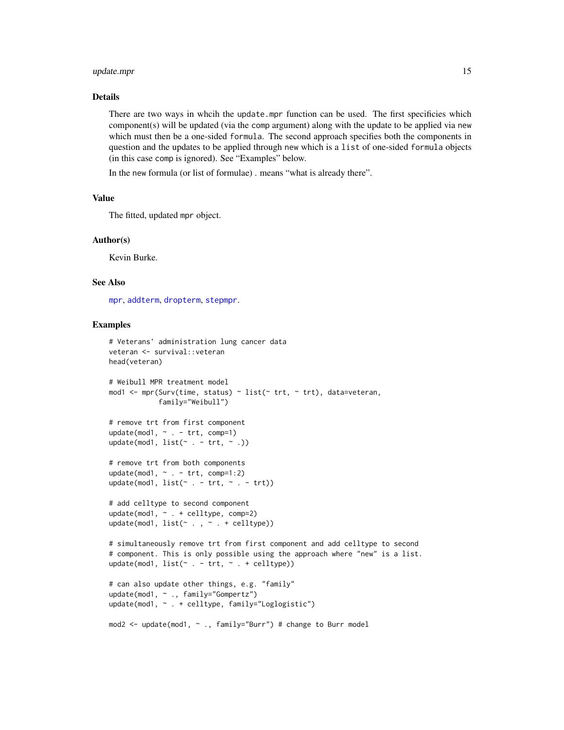### <span id="page-14-0"></span>update.mpr 15

# Details

There are two ways in whcih the update.mpr function can be used. The first specificies which component(s) will be updated (via the comp argument) along with the update to be applied via new which must then be a one-sided formula. The second approach specifies both the components in question and the updates to be applied through new which is a list of one-sided formula objects (in this case comp is ignored). See "Examples" below.

In the new formula (or list of formulae) . means "what is already there".

# Value

The fitted, updated mpr object.

#### Author(s)

Kevin Burke.

# See Also

[mpr](#page-5-1), [addterm](#page-1-1), [dropterm](#page-1-2), [stepmpr](#page-9-1).

```
# Veterans' administration lung cancer data
veteran <- survival::veteran
head(veteran)
# Weibull MPR treatment model
mod1 <- mpr(Surv(time, status) ~ list(~ trt, ~ trt), data=veteran,
            family="Weibull")
# remove trt from first component
update(mod1, ~ ~ ~ ~ ~ ~ ~ ~ trt, ~ comp=1)update(mod1, list(\sim . - trt, \sim .))# remove trt from both components
update(mod1, \sim . - trt, comp=1:2)
update(mod1, list(\sim . - trt, \sim . - trt))# add celltype to second component
update(mod1, \sim . + celltype, comp=2)
update(mod1, list(\sim . , \sim . + \text{celltype}))
# simultaneously remove trt from first component and add celltype to second
# component. This is only possible using the approach where "new" is a list.
update(mod1, list(\sim . - trt, \sim . + celltype))
# can also update other things, e.g. "family"
update(mod1, ~ ., family="Gompertz")
update(mod1, ~ . + celltype, family="Loglogistic")
mod2 <- update(mod1, ~ ., family="Burr") # change to Burr model
```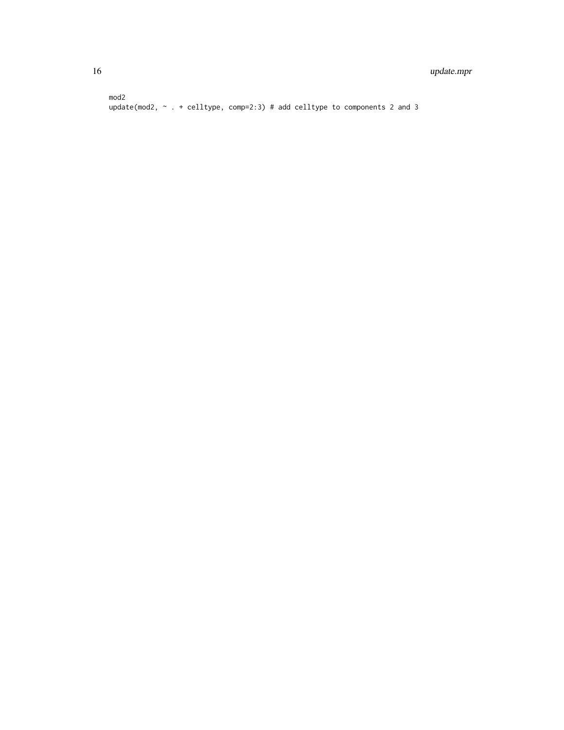mod2 update(mod2, ~ . + celltype, comp=2:3) # add celltype to components 2 and 3